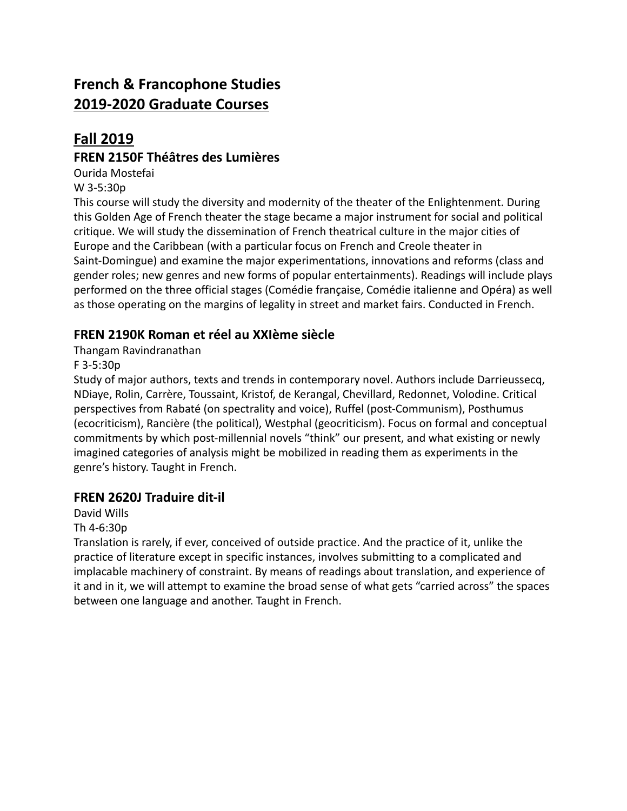# **French & Francophone Studies 2019-2020 Graduate Courses**

## **Fall 2019**

#### **FREN 2150F Théâtres des Lumières**

Ourida Mostefai

W 3-5:30p

This course will study the diversity and modernity of the theater of the Enlightenment. During this Golden Age of French theater the stage became a major instrument for social and political critique. We will study the dissemination of French theatrical culture in the major cities of Europe and the Caribbean (with a particular focus on French and Creole theater in Saint-Domingue) and examine the major experimentations, innovations and reforms (class and gender roles; new genres and new forms of popular entertainments). Readings will include plays performed on the three official stages (Comédie française, Comédie italienne and Opéra) as well as those operating on the margins of legality in street and market fairs. Conducted in French.

### **FREN 2190K Roman et réel au XXIème siècle**

Thangam Ravindranathan

F 3-5:30p

Study of major authors, texts and trends in contemporary novel. Authors include Darrieussecq, NDiaye, Rolin, Carrère, Toussaint, Kristof, de Kerangal, Chevillard, Redonnet, Volodine. Critical perspectives from Rabaté (on spectrality and voice), Ruffel (post-Communism), Posthumus (ecocriticism), Rancière (the political), Westphal (geocriticism). Focus on formal and conceptual commitments by which post-millennial novels "think" our present, and what existing or newly imagined categories of analysis might be mobilized in reading them as experiments in the genre's history. Taught in French.

### **FREN 2620J Traduire dit-il**

David Wills

Th 4-6:30p

Translation is rarely, if ever, conceived of outside practice. And the practice of it, unlike the practice of literature except in specific instances, involves submitting to a complicated and implacable machinery of constraint. By means of readings about translation, and experience of it and in it, we will attempt to examine the broad sense of what gets "carried across" the spaces between one language and another. Taught in French.